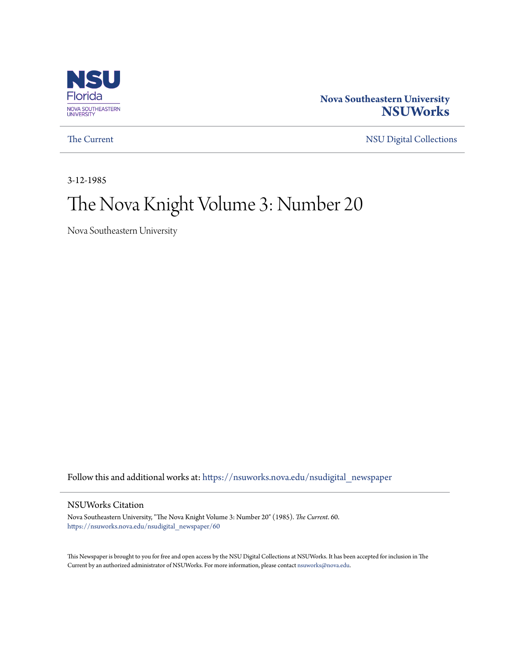

## **Nova Southeastern University [NSUWorks](https://nsuworks.nova.edu?utm_source=nsuworks.nova.edu%2Fnsudigital_newspaper%2F60&utm_medium=PDF&utm_campaign=PDFCoverPages)**

[The Current](https://nsuworks.nova.edu/nsudigital_newspaper?utm_source=nsuworks.nova.edu%2Fnsudigital_newspaper%2F60&utm_medium=PDF&utm_campaign=PDFCoverPages) [NSU Digital Collections](https://nsuworks.nova.edu/nsudigital?utm_source=nsuworks.nova.edu%2Fnsudigital_newspaper%2F60&utm_medium=PDF&utm_campaign=PDFCoverPages)

3-12-1985

## The Nova Knight Volume 3: Number 20

Nova Southeastern University

Follow this and additional works at: [https://nsuworks.nova.edu/nsudigital\\_newspaper](https://nsuworks.nova.edu/nsudigital_newspaper?utm_source=nsuworks.nova.edu%2Fnsudigital_newspaper%2F60&utm_medium=PDF&utm_campaign=PDFCoverPages)

#### NSUWorks Citation

Nova Southeastern University, "The Nova Knight Volume 3: Number 20" (1985). *The Current*. 60. [https://nsuworks.nova.edu/nsudigital\\_newspaper/60](https://nsuworks.nova.edu/nsudigital_newspaper/60?utm_source=nsuworks.nova.edu%2Fnsudigital_newspaper%2F60&utm_medium=PDF&utm_campaign=PDFCoverPages)

This Newspaper is brought to you for free and open access by the NSU Digital Collections at NSUWorks. It has been accepted for inclusion in The Current by an authorized administrator of NSUWorks. For more information, please contact [nsuworks@nova.edu.](mailto:nsuworks@nova.edu)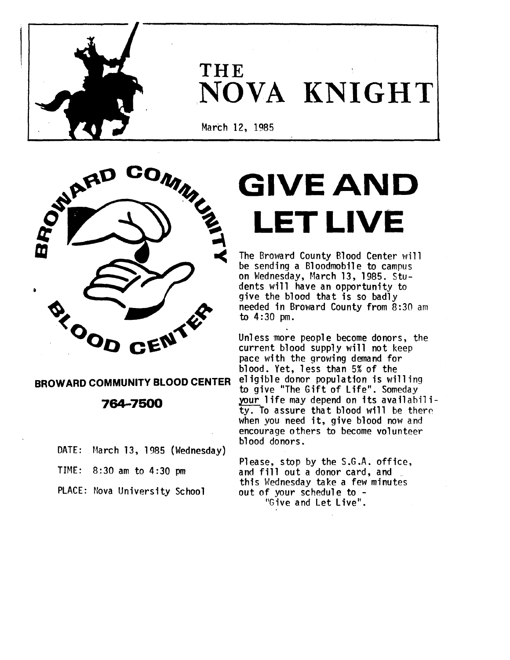

# **THE** .NOVA **KNIGHT**

March 12, 1985



## **BROWARD COMMUNITY BLOOD CENTER**

**764-7500**

DATE: Harch 13, 1985 (Wednesday)

TIME: 8:30 am to 4:30 pm

PLACE: Nova University School

# GIVE AND LET LIVE

The Broward County Blood Center will be sending a Bloodmobile to campus on Wednesday, March 13, 1985. Students will have an opportunity to give the blood that is so badly needed in Broward County from 8:30 am to 4:30 pm.

Unless more people become donors, the current blood supply will not keep pace with the growing demand for blood. Yet, less than 5% of the eligible donor population is willing to give "The Gift of Life". Someday your life may depend on its availability. To assure that blood will be there when you need it, give blood now and encourage others to become volunteer blood donors.

Please, stop by the S.G.A. office, and fill out a donor card, and this Wednesday take a few minutes out of your schedule to -<br>"Give and Let Live".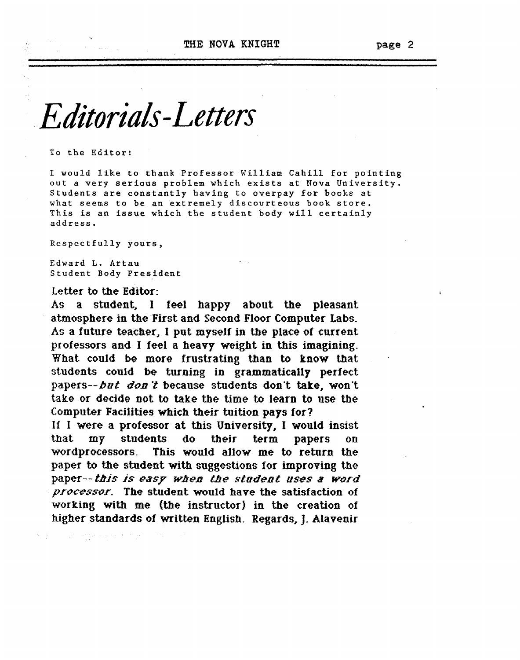page 2

# *.Editorials-Letters*

To the Editor:

<sup>I</sup> would like to thank Professor William Cahill for pointing out <sup>a</sup> very serious problem which exists at Nova University. Students are constantly having to overpay for books at what seems to be an extremely discourteous book store. This is an issue which the student body will certainly address:

Respectfully yours,

Edward L. Artau Student Body President

#### Letter to the Editor:

As a student, I feel happy about the pleasant atmosphere in the First and Second Floor Computer Labs. As a future teacher. I put myself in the place of current professors and I feel a heavy weight in this imagining. What could be more frustrating than to know that students could be turning in grammatically perfect papers--but don't because students don't take, won't take or decide not to take the time to learn to use the Computer Facilities which their tuition pays for?

If I were a professor at this University, I would insist that my students do their term papers on wordprocessors. This would allow me to return the paper to the student with suggestions for improving the paper-- this is easy when the student uses a word processor. The student would have the satisfaction of working with me (the instructor) in the creation of higher standards of written English. Regards, J. Alavenir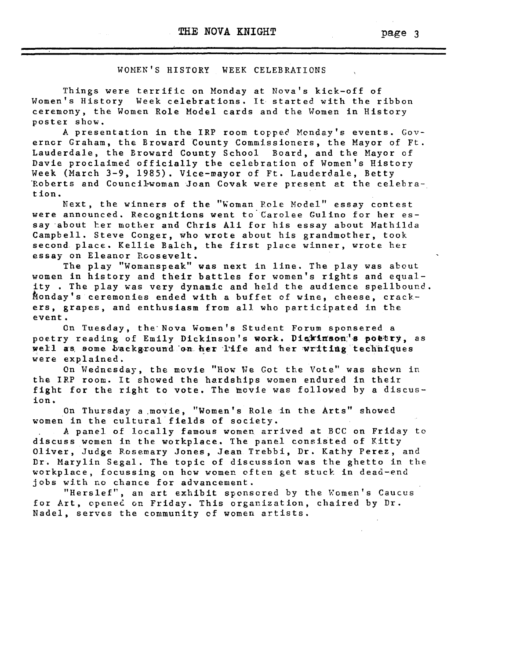page 3

#### WOMEN'S HISTORY WEEK CELEBRATIONS

Things were terrific on Monday at Nova's kick-off of Women's History Week celebrations. It started with the ribbon ceremony, the Women Role Model cards and the Women in History poster show.

<sup>A</sup> presentation in the IRP room toppec Mon4ay's events. Governor Graham, the Broward County Commissioners, the Mayor of Ft. Lauderdale, the Broward County School Board, and the Mayor of Davie proclaimed officially the celebration of Women's History Week (March 3-9, 1985). Vice-mayor of Ft. Lauderdale, Betty 'Roberts and Council-woman Joan Covak were present at the celebrat ion.

Next, the winners of the "Woman Role Model" essay contest were announced. Recognitions went to'Carolee Gulino for her essay about her mother and Chris Ali for his essay about Mathilda Campbell. Steve Conger, who wrote about his grandmother, took second place. Kellie Balch, the first place winner, wrote her essay on Eleanor Roosevelt.

The play "Womanspeak" was next in line. The play was about women in history and their battles for women's rights and equality . The play was very dynamic and held the audience spellbound. Monday's ceremonies ended with a buffet of wine, cheese, crackers, grapes, and enthusiasm from all who participated in the event.

On Tuesday, the'Nova Women's Student Forum sponsered a poetry reading of Emily Dickinson's work. Dickinson's poetry, as well as some background on her life and her writing techniques were explained. .

On Wednesday, the movie "How We Got the Vote" was shown in the IRP room. It showed the hardships women endured in their fight for the right to vote. The movie was followed by <sup>a</sup> discusion.<br>ion.

On Thursday a .movie, "Women's Role in the Arts" showed women in the cultural fields of society.

<sup>A</sup> panel of locally famous women arrived at BCC on Friday to discuss women in the workplace. The panel consisted of Kitty Oliver, Judge Rosemary Jones, Jean Trebbi, Dr. Kathy Perez, and Dr. Marylin Segal. The topic of discussion was the ghetto in the workplace, focussing on how women often get stuck in dead~end jobs with no chance for advancement.

"Herslef", an art exhibit sponscred by the *Women's* Caucus for Art, openec on Friday. This organization, chaired by Dr. Nadel, serves the community of women artists.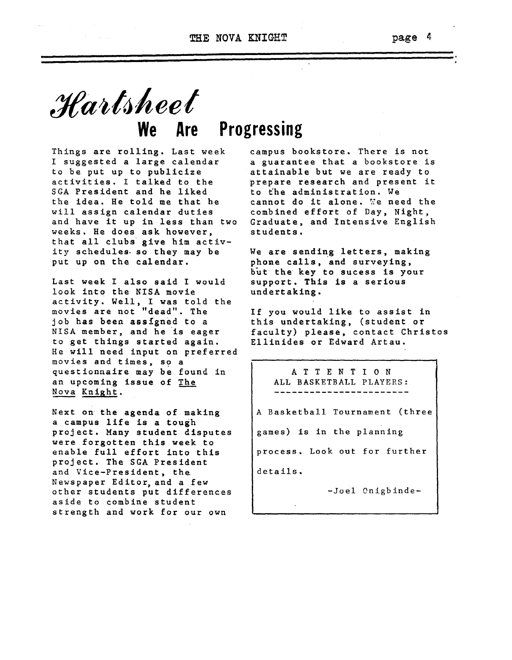THE NOVA KNIGHT **page** 4

# *t1tait.1heel* **We Are Progressing**

Things are rolling. Last week I suggested a large calendar to be put up to publicize activities. <sup>I</sup> talked to the SGA President and he liked the idea. He told me that he will assign calendar duties and have it up in less than two weeks. He does ask however, that all clubs give him activity schedules. so they may be put up on the calendar.

Last week I also said I would look into the NISA movie activity. Well, <sup>I</sup> was told the movies are not "dead". The job has been assigned to a NISA member, and he is eager to get things started again. He will need input on preferred movies and times, so a questionnaire may be found in an upcoming issue of The Nova Knight.

Next on the agenda of making a campus life is a tough project. Many student disputes were forgotten this week to enable full effort into this project. The SGA President and Vice-President, the Newspaper Editor, and a few other students put differences aside to combine student strength and work for our own

campus bookstore. There is not <sup>a</sup> guarantee that <sup>a</sup> bookstore is attainable but we are ready to prepare research and present it to the administration. We cannot do it alone. We need the combined effort of Day, Night, Graduate, and Intensive English students.

We are sending letters, making phone calls, and surveying, but the key to sucess is your support. This is <sup>a</sup> serious undertaking.

If you would like to assist in this undertaking, (student or faculty) please, contact Christos Ellinides or Edward Artau.

> A T TEN <sup>T</sup> ION ALL BASKETBALL PLAYERS:

A Basketball Tournament (three

games) is in the planning

process. Look out for further

details.

-Joel Onigbinde-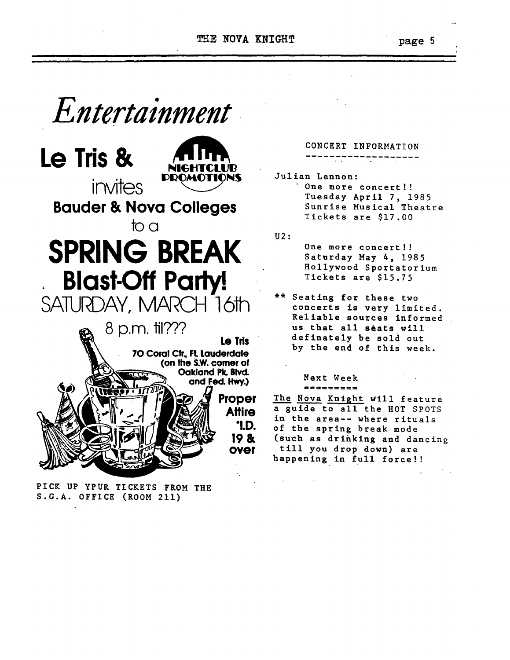THE NOVA KNIGHT page 5

*Entertainment*





**Bauder & Nova Colleges** 

# SPRING BREAK Blast-Off Party! too



PICK UP YPUR TICKETS FROM THE S.G.A. OFFICE (ROOM 211)

# ------------------- CONCERT INFORMATION

Julian Lennon: One more concert!! Tuesday April 7, 1985 Sunrise Musical Theatre Tickets are \$17.00

U2:

One more concert!! Saturday May 4, 1985 Hollywood Sportatorium Tickets are \$15.75

\*\* Seating for these two concerts is very limited. Reliable sources informed us that all seats will definate1y be sold out by the end of this week.

#### ======-== Next Week

The Nova Knight will feature <sup>a</sup> guide to all the HOT SPOTS in the area-- where rituals of the spring break mode (such as drinking and dancing till you drop down) are happening in full force!!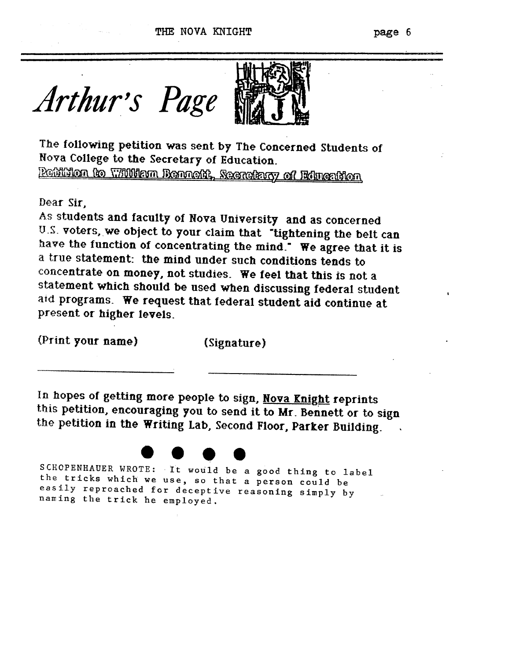

The following petition was sent by The Concerned Students of Nova College to the Secretary of Education.

 $P$  in the anti-property of the mass of the control of the control of the  $\alpha$ 

Dear Sir,

As students and faculty of Nova University and as concerned U.S. voters, we object to your claim that "tightening the belt can have the function of concentrating the mind.<sup>•</sup> We agree that it is a true statement: the mind under such conditions tends to concentrate on money, not studies. We feel that this is not a statement which should be used when discussing federal student aid programs. We request that federal student aid continue at present or higher levels.

(Print your name) (Signature)

In hopes of getting more people to sign, Nova Enight reprints this petition, encouraging you to send it to Mr. Bennett or to sign the petition in the Writing Lab, Second Floor, Parker BUilding.



SCHOPENHAUER WROTE: It would be a good thing to label<br>the tricks which we use so that a porson could be the tricks which we use, so that <sup>a</sup> person could be easily reproached for deceptive reasoning simply by naming the trick he employed.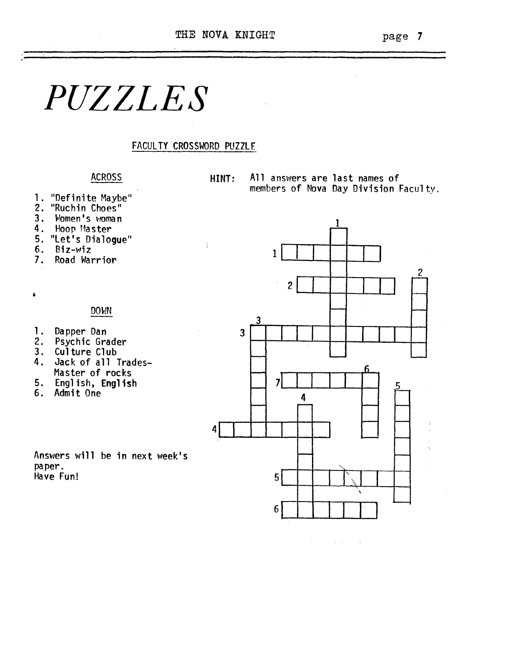$\bar{z}$ 

# *PUZZLES*

#### FACULTY CROSSWORD PUZZLE

 $\frac{1}{3}$ 

### ACROSS

- 1. "Definite Maybe" 2. "Ruchin Choes"
- 
- 3. Women's woman
- 4. Hoop Master
- 5. "let's Dialogue"
- 6. Biz-wiz<br>7. Road Wan
- 7. Road Warrior

DOWN

- 1. Dapper Dan 3
- 2. Psychic Grader
- 3. Culture Club<br>4. Jack of all
- Jack of all Trades-Master of rocks
- 5. English, English
- 

Answers will be in next week's paper. Have Fun! 5



 $\mathcal{A}^{\mathcal{A}}$  and  $\mathcal{A}^{\mathcal{A}}$  and  $\mathcal{A}^{\mathcal{A}}$  and  $\mathcal{A}^{\mathcal{A}}$